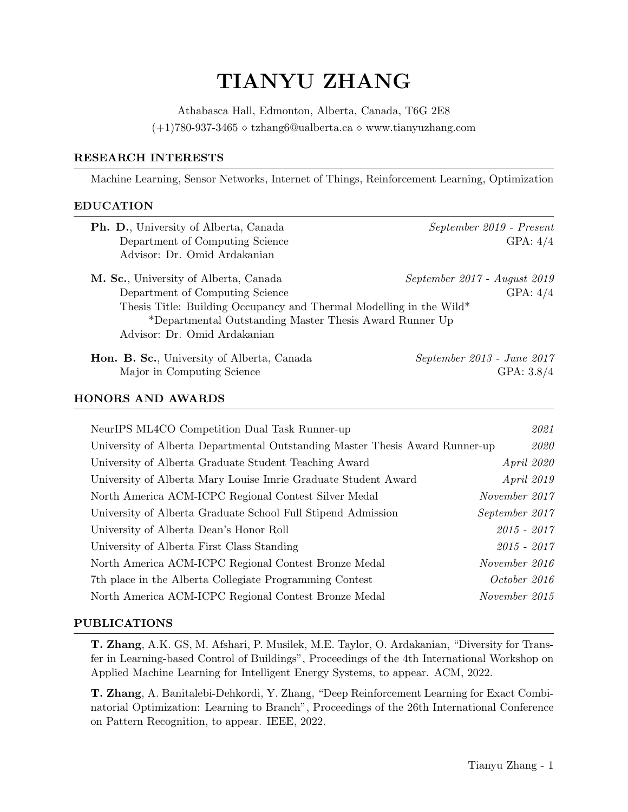# TIANYU ZHANG

Athabasca Hall, Edmonton, Alberta, Canada, T6G 2E8  $(+1)780-937-3465 \diamond$  tzhang6@ualberta.ca  $\diamond$  www.tianyuzhang.com

#### RESEARCH INTERESTS

Machine Learning, Sensor Networks, Internet of Things, Reinforcement Learning, Optimization

#### EDUCATION

| <b>Ph. D.</b> , University of Alberta, Canada<br>Department of Computing Science<br>Advisor: Dr. Omid Ardakanian                                                                                                                           | September 2019 - Present<br>GPA: $4/4$         |
|--------------------------------------------------------------------------------------------------------------------------------------------------------------------------------------------------------------------------------------------|------------------------------------------------|
| M. Sc., University of Alberta, Canada<br>Department of Computing Science<br>Thesis Title: Building Occupancy and Thermal Modelling in the Wild*<br>*Departmental Outstanding Master Thesis Award Runner Up<br>Advisor: Dr. Omid Ardakanian | September 2017 - August 2019<br>GPA: $4/4$     |
| <b>Hon. B. Sc.</b> , University of Alberta, Canada<br>Major in Computing Science                                                                                                                                                           | $September 2013$ - June $2017$<br>GPA: $3.8/4$ |

#### HONORS AND AWARDS

| NeurlPS ML4CO Competition Dual Task Runner-up                                |                   | 2021 |
|------------------------------------------------------------------------------|-------------------|------|
| University of Alberta Departmental Outstanding Master Thesis Award Runner-up |                   | 2020 |
| University of Alberta Graduate Student Teaching Award                        | <i>April 2020</i> |      |
| University of Alberta Mary Louise Imrie Graduate Student Award               | <i>April 2019</i> |      |
| North America ACM-ICPC Regional Contest Silver Medal                         | November 2017     |      |
| University of Alberta Graduate School Full Stipend Admission                 | September 2017    |      |
| University of Alberta Dean's Honor Roll                                      | $2015 - 2017$     |      |
| University of Alberta First Class Standing                                   | $2015 - 2017$     |      |
| North America ACM-ICPC Regional Contest Bronze Medal                         | November 2016     |      |
| 7th place in the Alberta Collegiate Programming Contest                      | October 2016      |      |
| North America ACM-ICPC Regional Contest Bronze Medal                         | November 2015     |      |
|                                                                              |                   |      |

#### PUBLICATIONS

T. Zhang, A.K. GS, M. Afshari, P. Musilek, M.E. Taylor, O. Ardakanian, "Diversity for Transfer in Learning-based Control of Buildings", Proceedings of the 4th International Workshop on Applied Machine Learning for Intelligent Energy Systems, to appear. ACM, 2022.

T. Zhang, A. Banitalebi-Dehkordi, Y. Zhang, "Deep Reinforcement Learning for Exact Combinatorial Optimization: Learning to Branch", Proceedings of the 26th International Conference on Pattern Recognition, to appear. IEEE, 2022.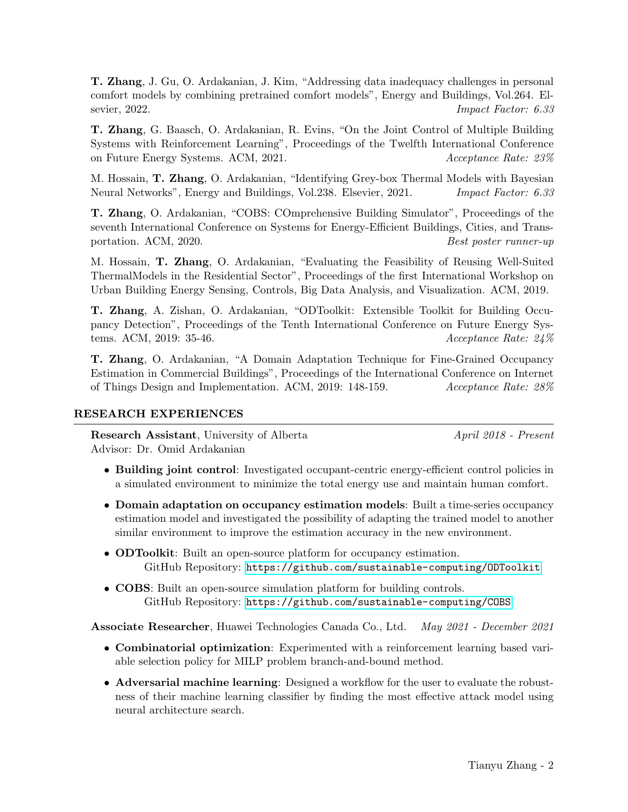T. Zhang, J. Gu, O. Ardakanian, J. Kim, "Addressing data inadequacy challenges in personal comfort models by combining pretrained comfort models", Energy and Buildings, Vol.264. Elsevier, 2022. Impact Factor: 6.33

T. Zhang, G. Baasch, O. Ardakanian, R. Evins, "On the Joint Control of Multiple Building Systems with Reinforcement Learning", Proceedings of the Twelfth International Conference on Future Energy Systems. ACM, 2021. Acceptance Rate: 23%

M. Hossain, T. Zhang, O. Ardakanian, "Identifying Grey-box Thermal Models with Bayesian Neural Networks", Energy and Buildings, Vol.238. Elsevier, 2021. *Impact Factor: 6.33* 

T. Zhang, O. Ardakanian, "COBS: COmprehensive Building Simulator", Proceedings of the seventh International Conference on Systems for Energy-Efficient Buildings, Cities, and Transportation. ACM, 2020. Best poster runner-up

M. Hossain, T. Zhang, O. Ardakanian, "Evaluating the Feasibility of Reusing Well-Suited ThermalModels in the Residential Sector", Proceedings of the first International Workshop on Urban Building Energy Sensing, Controls, Big Data Analysis, and Visualization. ACM, 2019.

T. Zhang, A. Zishan, O. Ardakanian, "ODToolkit: Extensible Toolkit for Building Occupancy Detection", Proceedings of the Tenth International Conference on Future Energy Systems. ACM, 2019: 35-46.  $\qquad \qquad$  Acceptance Rate: 24%

T. Zhang, O. Ardakanian, "A Domain Adaptation Technique for Fine-Grained Occupancy Estimation in Commercial Buildings", Proceedings of the International Conference on Internet of Things Design and Implementation. ACM, 2019: 148-159. Acceptance Rate: 28%

# RESEARCH EXPERIENCES

**Research Assistant**, University of Alberta *April 2018 - Present* Advisor: Dr. Omid Ardakanian

- Building joint control: Investigated occupant-centric energy-efficient control policies in a simulated environment to minimize the total energy use and maintain human comfort.
- Domain adaptation on occupancy estimation models: Built a time-series occupancy estimation model and investigated the possibility of adapting the trained model to another similar environment to improve the estimation accuracy in the new environment.
- ODToolkit: Built an open-source platform for occupancy estimation. GitHub Repository: <https://github.com/sustainable-computing/ODToolkit>
- COBS: Built an open-source simulation platform for building controls. GitHub Repository: <https://github.com/sustainable-computing/COBS>

Associate Researcher, Huawei Technologies Canada Co., Ltd. May 2021 - December 2021

- Combinatorial optimization: Experimented with a reinforcement learning based variable selection policy for MILP problem branch-and-bound method.
- Adversarial machine learning: Designed a workflow for the user to evaluate the robustness of their machine learning classifier by finding the most effective attack model using neural architecture search.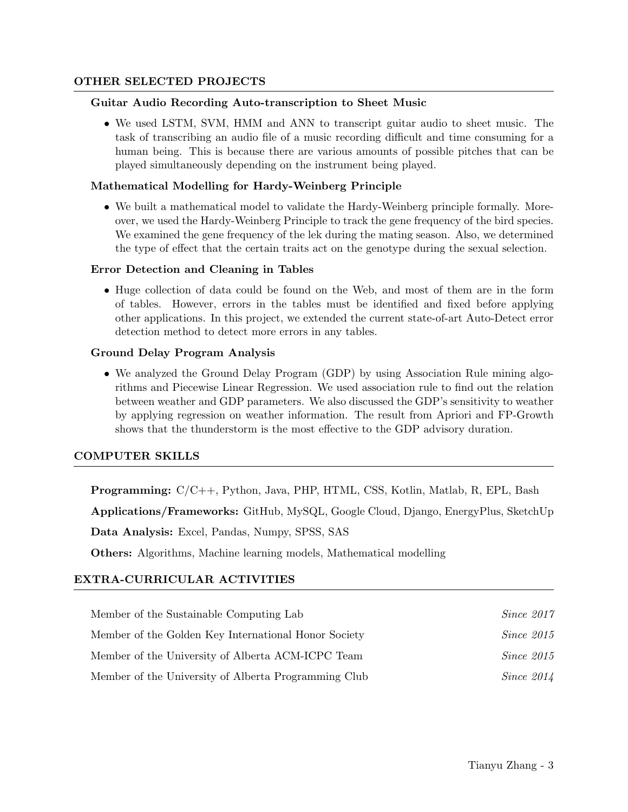# OTHER SELECTED PROJECTS

#### Guitar Audio Recording Auto-transcription to Sheet Music

• We used LSTM, SVM, HMM and ANN to transcript guitar audio to sheet music. The task of transcribing an audio file of a music recording difficult and time consuming for a human being. This is because there are various amounts of possible pitches that can be played simultaneously depending on the instrument being played.

# Mathematical Modelling for Hardy-Weinberg Principle

• We built a mathematical model to validate the Hardy-Weinberg principle formally. Moreover, we used the Hardy-Weinberg Principle to track the gene frequency of the bird species. We examined the gene frequency of the lek during the mating season. Also, we determined the type of effect that the certain traits act on the genotype during the sexual selection.

#### Error Detection and Cleaning in Tables

• Huge collection of data could be found on the Web, and most of them are in the form of tables. However, errors in the tables must be identified and fixed before applying other applications. In this project, we extended the current state-of-art Auto-Detect error detection method to detect more errors in any tables.

# Ground Delay Program Analysis

• We analyzed the Ground Delay Program (GDP) by using Association Rule mining algorithms and Piecewise Linear Regression. We used association rule to find out the relation between weather and GDP parameters. We also discussed the GDP's sensitivity to weather by applying regression on weather information. The result from Apriori and FP-Growth shows that the thunderstorm is the most effective to the GDP advisory duration.

# COMPUTER SKILLS

Programming: C/C++, Python, Java, PHP, HTML, CSS, Kotlin, Matlab, R, EPL, Bash

Applications/Frameworks: GitHub, MySQL, Google Cloud, Django, EnergyPlus, SketchUp

Data Analysis: Excel, Pandas, Numpy, SPSS, SAS

Others: Algorithms, Machine learning models, Mathematical modelling

# EXTRA-CURRICULAR ACTIVITIES

| Member of the Sustainable Computing Lab              | Since 2017 |
|------------------------------------------------------|------------|
| Member of the Golden Key International Honor Society | Since 2015 |
| Member of the University of Alberta ACM-ICPC Team    | Since 2015 |
| Member of the University of Alberta Programming Club | Since 2014 |